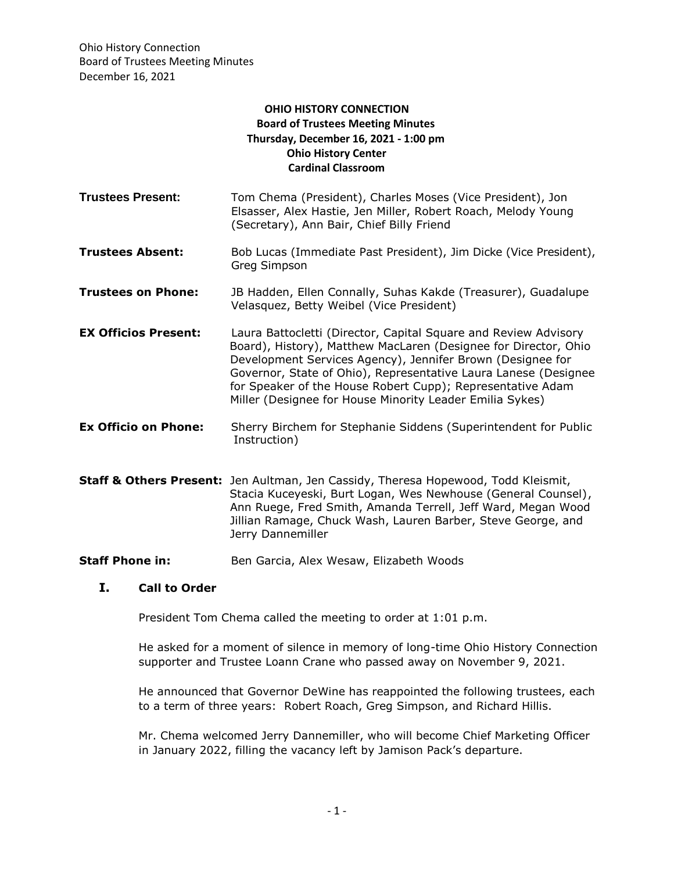Ohio History Connection Board of Trustees Meeting Minutes December 16, 2021

## **OHIO HISTORY CONNECTION Board of Trustees Meeting Minutes Thursday, December 16, 2021 - 1:00 pm Ohio History Center Cardinal Classroom**

- **Trustees Present:** Tom Chema (President), Charles Moses (Vice President), Jon Elsasser, Alex Hastie, Jen Miller, Robert Roach, Melody Young (Secretary), Ann Bair, Chief Billy Friend **Trustees Absent:** Bob Lucas (Immediate Past President), Jim Dicke (Vice President), Greg Simpson **Trustees on Phone:** JB Hadden, Ellen Connally, Suhas Kakde (Treasurer), Guadalupe Velasquez, Betty Weibel (Vice President) **EX Officios Present:** Laura Battocletti (Director, Capital Square and Review Advisory Board), History), Matthew MacLaren (Designee for Director, Ohio Development Services Agency), Jennifer Brown (Designee for Governor, State of Ohio), Representative Laura Lanese (Designee for Speaker of the House Robert Cupp); Representative Adam Miller (Designee for House Minority Leader Emilia Sykes) **Ex Officio on Phone:** Sherry Birchem for Stephanie Siddens (Superintendent for Public Instruction)
- **Staff & Others Present:** Jen Aultman, Jen Cassidy, Theresa Hopewood, Todd Kleismit, Stacia Kuceyeski, Burt Logan, Wes Newhouse (General Counsel), Ann Ruege, Fred Smith, Amanda Terrell, Jeff Ward, Megan Wood Jillian Ramage, Chuck Wash, Lauren Barber, Steve George, and Jerry Dannemiller
- **Staff Phone in:** Ben Garcia, Alex Wesaw, Elizabeth Woods

# **I. Call to Order**

President Tom Chema called the meeting to order at 1:01 p.m.

He asked for a moment of silence in memory of long-time Ohio History Connection supporter and Trustee Loann Crane who passed away on November 9, 2021.

He announced that Governor DeWine has reappointed the following trustees, each to a term of three years: Robert Roach, Greg Simpson, and Richard Hillis.

Mr. Chema welcomed Jerry Dannemiller, who will become Chief Marketing Officer in January 2022, filling the vacancy left by Jamison Pack's departure.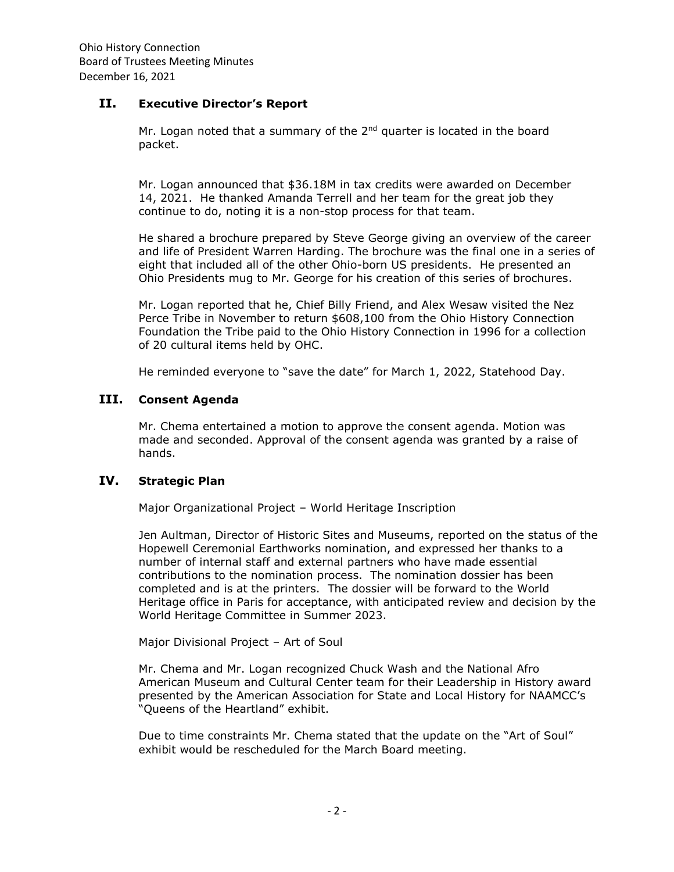### **II. Executive Director's Report**

Mr. Logan noted that a summary of the  $2<sup>nd</sup>$  quarter is located in the board packet.

Mr. Logan announced that \$36.18M in tax credits were awarded on December 14, 2021. He thanked Amanda Terrell and her team for the great job they continue to do, noting it is a non-stop process for that team.

He shared a brochure prepared by Steve George giving an overview of the career and life of President Warren Harding. The brochure was the final one in a series of eight that included all of the other Ohio-born US presidents. He presented an Ohio Presidents mug to Mr. George for his creation of this series of brochures.

Mr. Logan reported that he, Chief Billy Friend, and Alex Wesaw visited the Nez Perce Tribe in November to return \$608,100 from the Ohio History Connection Foundation the Tribe paid to the Ohio History Connection in 1996 for a collection of 20 cultural items held by OHC.

He reminded everyone to "save the date" for March 1, 2022, Statehood Day.

# **III. Consent Agenda**

Mr. Chema entertained a motion to approve the consent agenda. Motion was made and seconded. Approval of the consent agenda was granted by a raise of hands.

# **IV. Strategic Plan**

Major Organizational Project – World Heritage Inscription

Jen Aultman, Director of Historic Sites and Museums, reported on the status of the Hopewell Ceremonial Earthworks nomination, and expressed her thanks to a number of internal staff and external partners who have made essential contributions to the nomination process. The nomination dossier has been completed and is at the printers. The dossier will be forward to the World Heritage office in Paris for acceptance, with anticipated review and decision by the World Heritage Committee in Summer 2023.

Major Divisional Project – Art of Soul

Mr. Chema and Mr. Logan recognized Chuck Wash and the National Afro American Museum and Cultural Center team for their Leadership in History award presented by the American Association for State and Local History for NAAMCC's "Queens of the Heartland" exhibit.

Due to time constraints Mr. Chema stated that the update on the "Art of Soul" exhibit would be rescheduled for the March Board meeting.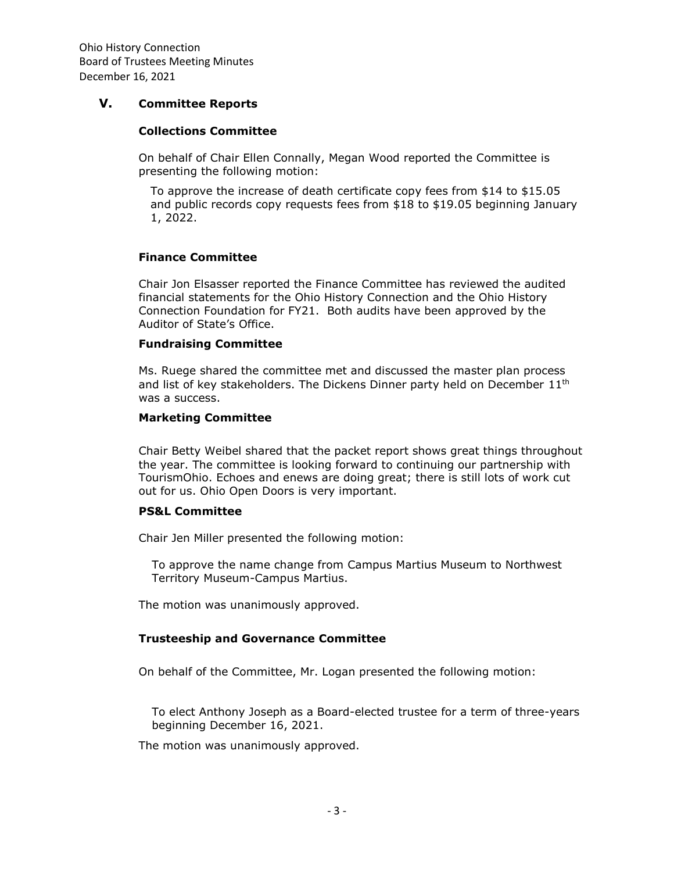Ohio History Connection Board of Trustees Meeting Minutes December 16, 2021

### **V. Committee Reports**

### **Collections Committee**

On behalf of Chair Ellen Connally, Megan Wood reported the Committee is presenting the following motion:

To approve the increase of death certificate copy fees from \$14 to \$15.05 and public records copy requests fees from \$18 to \$19.05 beginning January 1, 2022.

### **Finance Committee**

Chair Jon Elsasser reported the Finance Committee has reviewed the audited financial statements for the Ohio History Connection and the Ohio History Connection Foundation for FY21. Both audits have been approved by the Auditor of State's Office.

#### **Fundraising Committee**

Ms. Ruege shared the committee met and discussed the master plan process and list of key stakeholders. The Dickens Dinner party held on December  $11<sup>th</sup>$ was a success.

#### **Marketing Committee**

Chair Betty Weibel shared that the packet report shows great things throughout the year. The committee is looking forward to continuing our partnership with TourismOhio. Echoes and enews are doing great; there is still lots of work cut out for us. Ohio Open Doors is very important.

#### **PS&L Committee**

Chair Jen Miller presented the following motion:

To approve the name change from Campus Martius Museum to Northwest Territory Museum-Campus Martius.

The motion was unanimously approved.

#### **Trusteeship and Governance Committee**

On behalf of the Committee, Mr. Logan presented the following motion:

To elect Anthony Joseph as a Board-elected trustee for a term of three-years beginning December 16, 2021.

The motion was unanimously approved.